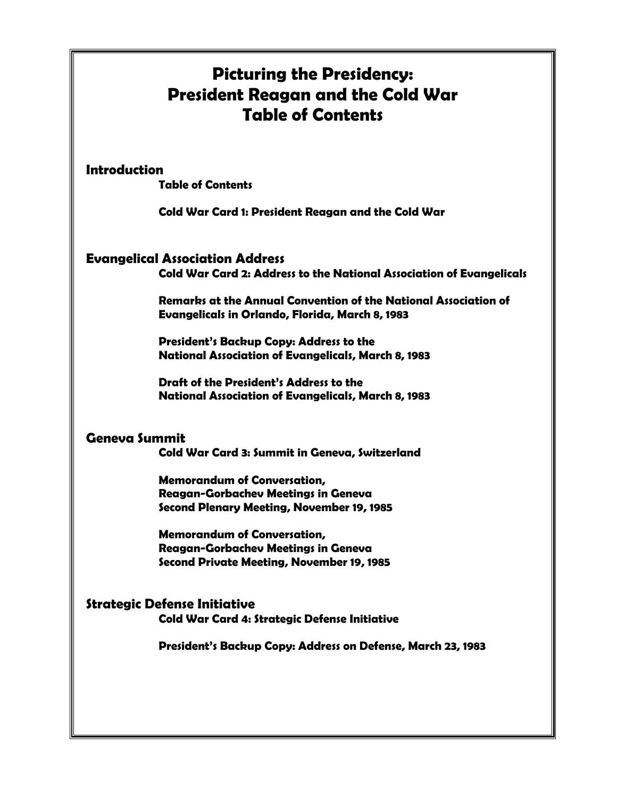# **Picturing the Presidency: President Reagan and the Cold War Table of Contents**

#### **Introduction**

**Table of Contents** 

**Cold War Card 1: President Reagan and the Cold War** 

### **Evangelical Association Address**

 **Cold War Card 2: Address to the National Association of Evangelicals** 

**Remarks at the Annual Convention of the National Association of Evangelicals in Orlando, Florida, March 8, 1983** 

**President's Backup Copy: Address to the National Association of Evangelicals, March 8, 1983** 

**Draft of the President's Address to the National Association of Evangelicals, March 8, 1983** 

## **Geneva Summit**

 **Cold War Card 3: Summit in Geneva, Switzerland** 

 **Memorandum of Conversation, Reagan-Gorbachev Meetings in Geneva Second Plenary Meeting, November 19, 1985** 

**Memorandum of Conversation, Reagan-Gorbachev Meetings in Geneva Second Private Meeting, November 19, 1985** 

#### **Strategic Defense Initiative Cold War Card 4: Strategic Defense Initiative**

**President's Backup Copy: Address on Defense, March 23, 1983**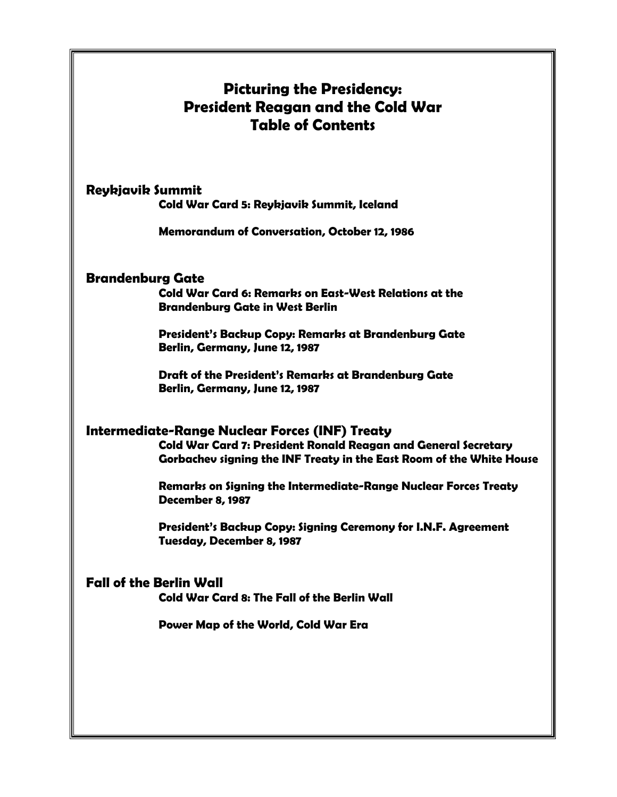# **Picturing the Presidency: President Reagan and the Cold War Table of Contents**

#### **Reykjavik Summit**

**Cold War Card 5: Reykjavik Summit, Iceland** 

**Memorandum of Conversation, October 12, 1986** 

#### **Brandenburg Gate**

**Cold War Card 6: Remarks on East-West Relations at the Brandenburg Gate in West Berlin** 

**President's Backup Copy: Remarks at Brandenburg Gate Berlin, Germany, June 12, 1987** 

**Draft of the President's Remarks at Brandenburg Gate Berlin, Germany, June 12, 1987** 

### **Intermediate-Range Nuclear Forces (INF) Treaty**

**Cold War Card 7: President Ronald Reagan and General Secretary Gorbachev signing the INF Treaty in the East Room of the White House** 

**Remarks on Signing the Intermediate-Range Nuclear Forces Treaty December 8, 1987** 

 **President's Backup Copy: Signing Ceremony for I.N.F. Agreement Tuesday, December 8, 1987** 

#### **Fall of the Berlin Wall**

**Cold War Card 8: The Fall of the Berlin Wall** 

**Power Map of the World, Cold War Era**